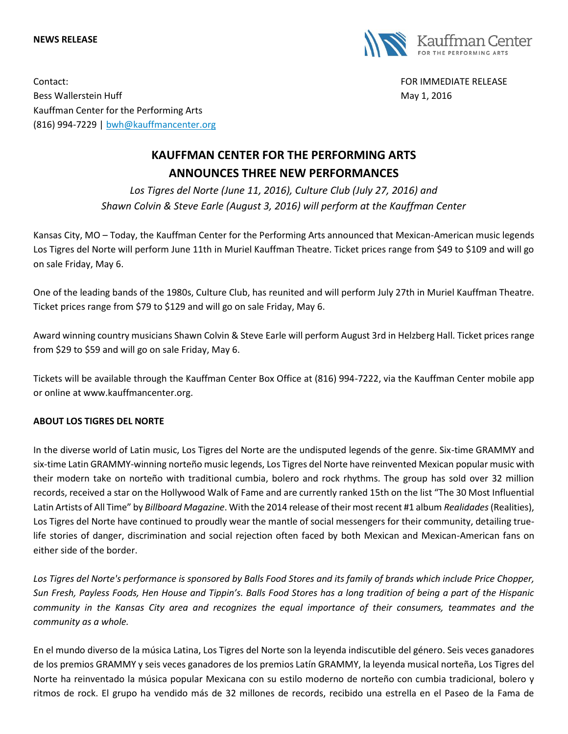#### **NEWS RELEASE**



Contact: FOR IMMEDIATE RELEASE Bess Wallerstein Huff **May 1, 2016** Nav 1, 2016 Kauffman Center for the Performing Arts (816) 994-7229 | [bwh@kauffmancenter.org](mailto:bwh@kauffmancenter.org)

# **KAUFFMAN CENTER FOR THE PERFORMING ARTS ANNOUNCES THREE NEW PERFORMANCES**

*Los Tigres del Norte (June 11, 2016), Culture Club (July 27, 2016) and Shawn Colvin & Steve Earle (August 3, 2016) will perform at the Kauffman Center*

Kansas City, MO – Today, the Kauffman Center for the Performing Arts announced that Mexican-American music legends Los Tigres del Norte will perform June 11th in Muriel Kauffman Theatre. Ticket prices range from \$49 to \$109 and will go on sale Friday, May 6.

One of the leading bands of the 1980s, Culture Club, has reunited and will perform July 27th in Muriel Kauffman Theatre. Ticket prices range from \$79 to \$129 and will go on sale Friday, May 6.

Award winning country musicians Shawn Colvin & Steve Earle will perform August 3rd in Helzberg Hall. Ticket prices range from \$29 to \$59 and will go on sale Friday, May 6.

Tickets will be available through the Kauffman Center Box Office at (816) 994-7222, via the Kauffman Center mobile app or online at www.kauffmancenter.org.

# **ABOUT LOS TIGRES DEL NORTE**

In the diverse world of Latin music, Los Tigres del Norte are the undisputed legends of the genre. Six-time GRAMMY and six-time Latin GRAMMY-winning norteño music legends, Los Tigres del Norte have reinvented Mexican popular music with their modern take on norteño with traditional cumbia, bolero and rock rhythms. The group has sold over 32 million records, received a star on the Hollywood Walk of Fame and are currently ranked 15th on the list "The 30 Most Influential Latin Artists of All Time" by *Billboard Magazine*. With the 2014 release of their most recent #1 album *Realidades*(Realities), Los Tigres del Norte have continued to proudly wear the mantle of social messengers for their community, detailing truelife stories of danger, discrimination and social rejection often faced by both Mexican and Mexican-American fans on either side of the border.

Los Tigres del Norte's performance is sponsored by Balls Food Stores and its family of brands which include Price Chopper, *Sun Fresh, Payless Foods, Hen House and Tippin's. Balls Food Stores has a long tradition of being a part of the Hispanic community in the Kansas City area and recognizes the equal importance of their consumers, teammates and the community as a whole.*

En el mundo diverso de la música Latina, Los Tigres del Norte son la leyenda indiscutible del género. Seis veces ganadores de los premios GRAMMY y seis veces ganadores de los premios Latín GRAMMY, la leyenda musical norteña, Los Tigres del Norte ha reinventado la música popular Mexicana con su estilo moderno de norteño con cumbia tradicional, bolero y ritmos de rock. El grupo ha vendido más de 32 millones de records, recibido una estrella en el Paseo de la Fama de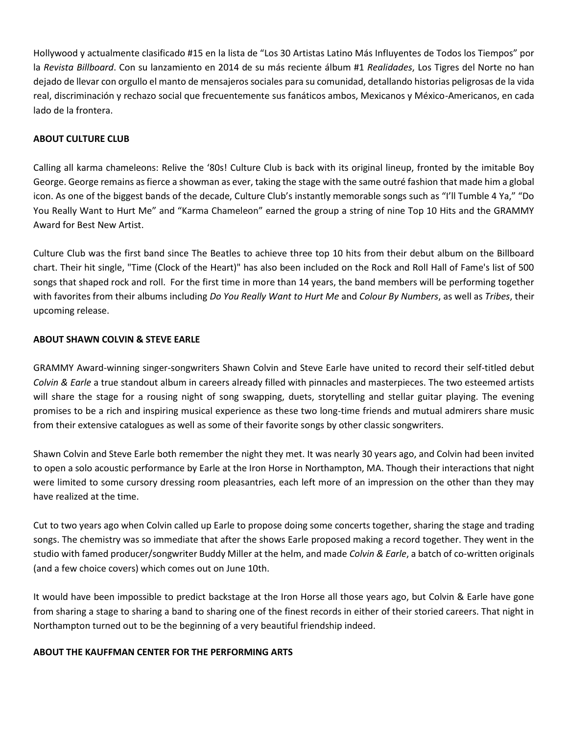Hollywood y actualmente clasificado #15 en la lista de "Los 30 Artistas Latino Más Influyentes de Todos los Tiempos" por la *Revista Billboard*. Con su lanzamiento en 2014 de su más reciente álbum #1 *Realidades*, Los Tigres del Norte no han dejado de llevar con orgullo el manto de mensajeros sociales para su comunidad, detallando historias peligrosas de la vida real, discriminación y rechazo social que frecuentemente sus fanáticos ambos, Mexicanos y México-Americanos, en cada lado de la frontera.

#### **ABOUT CULTURE CLUB**

Calling all karma chameleons: Relive the '80s! Culture Club is back with its original lineup, fronted by the imitable Boy George. George remains as fierce a showman as ever, taking the stage with the same outré fashion that made him a global icon. As one of the biggest bands of the decade, Culture Club's instantly memorable songs such as "I'll Tumble 4 Ya," "Do You Really Want to Hurt Me" and "Karma Chameleon" earned the group a string of nine Top 10 Hits and the GRAMMY Award for Best New Artist.

Culture Club was the first band since The Beatles to achieve three top 10 hits from their debut album on the Billboard chart. Their hit single, "Time (Clock of the Heart)" has also been included on the Rock and Roll Hall of Fame's list of 500 songs that shaped rock and roll. For the first time in more than 14 years, the band members will be performing together with favorites from their albums including *Do You Really Want to Hurt Me* and *Colour By Numbers*, as well as *Tribes*, their upcoming release.

### **ABOUT SHAWN COLVIN & STEVE EARLE**

GRAMMY Award-winning singer-songwriters Shawn Colvin and Steve Earle have united to record their self-titled debut *Colvin & Earle* a true standout album in careers already filled with pinnacles and masterpieces. The two esteemed artists will share the stage for a rousing night of song swapping, duets, storytelling and stellar guitar playing. The evening promises to be a rich and inspiring musical experience as these two long-time friends and mutual admirers share music from their extensive catalogues as well as some of their favorite songs by other classic songwriters.

Shawn Colvin and Steve Earle both remember the night they met. It was nearly 30 years ago, and Colvin had been invited to open a solo acoustic performance by Earle at the Iron Horse in Northampton, MA. Though their interactions that night were limited to some cursory dressing room pleasantries, each left more of an impression on the other than they may have realized at the time.

Cut to two years ago when Colvin called up Earle to propose doing some concerts together, sharing the stage and trading songs. The chemistry was so immediate that after the shows Earle proposed making a record together. They went in the studio with famed producer/songwriter Buddy Miller at the helm, and made *Colvin & Earle*, a batch of co-written originals (and a few choice covers) which comes out on June 10th.

It would have been impossible to predict backstage at the Iron Horse all those years ago, but Colvin & Earle have gone from sharing a stage to sharing a band to sharing one of the finest records in either of their storied careers. That night in Northampton turned out to be the beginning of a very beautiful friendship indeed.

# **ABOUT THE KAUFFMAN CENTER FOR THE PERFORMING ARTS**